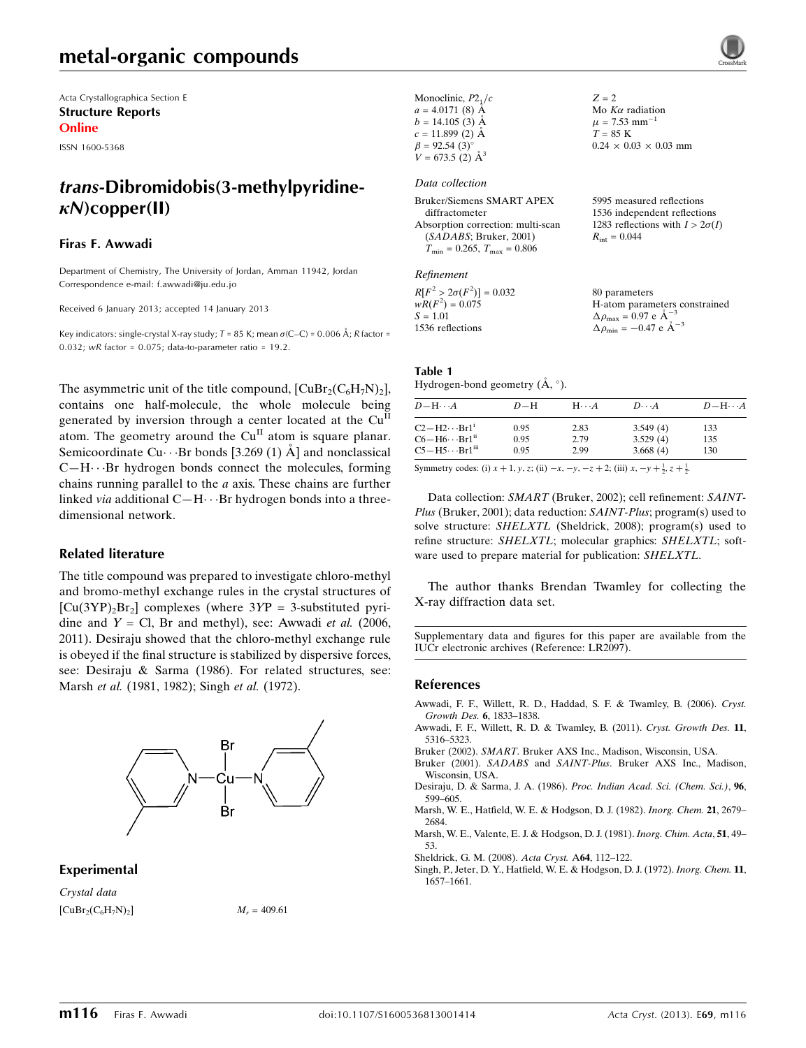Acta Crystallographica Section E Structure Reports Online

ISSN 1600-5368

# trans-Dibromidobis(3-methylpyridine- $\kappa$ N)copper(II)

#### Firas F. Awwadi

Department of Chemistry, The University of Jordan, Amman 11942, Jordan Correspondence e-mail: [f.awwadi@ju.edu.jo](https://scripts.iucr.org/cgi-bin/cr.cgi?rm=pdfbb&cnor=lr2097&bbid=BB9)

Received 6 January 2013; accepted 14 January 2013

Key indicators: single-crystal X-ray study; T = 85 K; mean  $\sigma$ (C–C) = 0.006 Å; R factor = 0.032;  $wR$  factor = 0.075; data-to-parameter ratio = 19.2.

The asymmetric unit of the title compound,  $[\text{CuBr}_2(\text{C}_6\text{H}_7\text{N})_2]$ , contains one half-molecule, the whole molecule being generated by inversion through a center located at the Cu<sup>II</sup> atom. The geometry around the  $Cu<sup>H</sup>$  atom is square planar. Semicoordinate Cu $\cdots$  Br bonds [3.269 (1)  $\AA$ ] and nonclassical C-H···Br hydrogen bonds connect the molecules, forming chains running parallel to the  $a$  axis. These chains are further linked via additional C-H···Br hydrogen bonds into a threedimensional network.

#### Related literature

The title compound was prepared to investigate chloro-methyl and bromo-methyl exchange rules in the crystal structures of  $\text{[Cu(3YP)}_2\text{Br}_2\text{]}$  complexes (where  $3YP = 3$ -substituted pyridine and  $Y = Cl$ , Br and methyl), see: Awwadi et al. (2006, 2011). Desiraju showed that the chloro-methyl exchange rule is obeyed if the final structure is stabilized by dispersive forces, see: Desiraju & Sarma (1986). For related structures, see: Marsh et al. (1981, 1982); Singh et al. (1972).



#### Experimental

Crystal data  $[CuBr_2(C_6H_7N)_2]$   $M_r = 409.61$ 

Monoclinic,  $P2_1/c$  $a = 4.0171(8)$  Å  $b = 14.105$  (3) Å  $c = 11.899$  (2) Å  $\beta = 92.54(3)$ °  $V = 673.5 \ (2) \ \text{\AA}^3$ 

#### Data collection

| Bruker/Siemens SMART APEX               | 5995 measured reflections              |
|-----------------------------------------|----------------------------------------|
| diffractometer                          | 1536 independent reflections           |
| Absorption correction: multi-scan       | 1283 reflections with $I > 2\sigma(I)$ |
| (SADABS; Bruker, 2001)                  | $R_{\rm int} = 0.044$                  |
| $T_{\min} = 0.265$ , $T_{\max} = 0.806$ |                                        |
|                                         |                                        |

 $Z = 2$ 

Mo  $K\alpha$  radiation  $\mu$  = 7.53 mm<sup>-1</sup>  $T = 85$  K

 $0.24 \times 0.03 \times 0.03$  mm

## Refinement

| $R[F^2 > 2\sigma(F^2)] = 0.032$ | 80 parameters                                     |
|---------------------------------|---------------------------------------------------|
| $wR(F^2) = 0.075$               | H-atom parameters constrained                     |
| $S = 1.01$                      | $\Delta\rho_{\text{max}} = 0.97 \text{ e A}^{-3}$ |
| 1536 reflections                | $\Delta \rho_{\text{min}} = -0.47$ e $\AA^{-3}$   |

#### Table 1

Hydrogen-bond geometry  $(\AA, \degree)$ .

| $D - H \cdots A$                    | $D-H$ | $H \cdots A$ | $D\cdots A$ | $D - H \cdots A$ |
|-------------------------------------|-------|--------------|-------------|------------------|
| $C2-H2\cdots Br1$ <sup>1</sup>      | 0.95  | 2.83         | 3.549(4)    | 133              |
| $C6 - H6 \cdots Br1^{ii}$           | 0.95  | 2.79         | 3.529(4)    | 135              |
| $C5 - H5 \cdots Br1$ <sup>iii</sup> | 0.95  | 2.99         | 3.668(4)    | 130              |

Symmetry codes: (i)  $x + 1$ ,  $y$ ,  $z$ ; (ii)  $-x$ ,  $-y$ ,  $-z + 2$ ; (iii)  $x$ ,  $-y + \frac{1}{2}$ ,  $z + \frac{1}{2}$ .

Data collection: SMART (Bruker, 2002); cell refinement: SAINT-Plus (Bruker, 2001); data reduction: SAINT-Plus; program(s) used to solve structure: SHELXTL (Sheldrick, 2008); program(s) used to refine structure: SHELXTL; molecular graphics: SHELXTL; software used to prepare material for publication: SHELXTL.

The author thanks Brendan Twamley for collecting the X-ray diffraction data set.

Supplementary data and figures for this paper are available from the IUCr electronic archives (Reference: LR2097).

#### References

- [Awwadi, F. F., Willett, R. D., Haddad, S. F. & Twamley, B. \(2006\).](https://scripts.iucr.org/cgi-bin/cr.cgi?rm=pdfbb&cnor=lr2097&bbid=BB1) Cryst. [Growth Des.](https://scripts.iucr.org/cgi-bin/cr.cgi?rm=pdfbb&cnor=lr2097&bbid=BB1) 6, 1833–1838.
- [Awwadi, F. F., Willett, R. D. & Twamley, B. \(2011\).](https://scripts.iucr.org/cgi-bin/cr.cgi?rm=pdfbb&cnor=lr2097&bbid=BB2) Cryst. Growth Des. 11, [5316–5323.](https://scripts.iucr.org/cgi-bin/cr.cgi?rm=pdfbb&cnor=lr2097&bbid=BB2)
- Bruker (2002). SMART[. Bruker AXS Inc., Madison, Wisconsin, USA.](https://scripts.iucr.org/cgi-bin/cr.cgi?rm=pdfbb&cnor=lr2097&bbid=BB3)
- Bruker (2001). SADABS and SAINT-Plus[. Bruker AXS Inc., Madison,](https://scripts.iucr.org/cgi-bin/cr.cgi?rm=pdfbb&cnor=lr2097&bbid=BB4) [Wisconsin, USA.](https://scripts.iucr.org/cgi-bin/cr.cgi?rm=pdfbb&cnor=lr2097&bbid=BB4)
- Desiraju, D. & Sarma, J. A. (1986). [Proc. Indian Acad. Sci. \(Chem. Sci.\)](https://scripts.iucr.org/cgi-bin/cr.cgi?rm=pdfbb&cnor=lr2097&bbid=BB5), 96, [599–605.](https://scripts.iucr.org/cgi-bin/cr.cgi?rm=pdfbb&cnor=lr2097&bbid=BB5)
- [Marsh, W. E., Hatfield, W. E. & Hodgson, D. J. \(1982\).](https://scripts.iucr.org/cgi-bin/cr.cgi?rm=pdfbb&cnor=lr2097&bbid=BB6) Inorg. Chem. 21, 2679– [2684.](https://scripts.iucr.org/cgi-bin/cr.cgi?rm=pdfbb&cnor=lr2097&bbid=BB6)
- [Marsh, W. E., Valente, E. J. & Hodgson, D. J. \(1981\).](https://scripts.iucr.org/cgi-bin/cr.cgi?rm=pdfbb&cnor=lr2097&bbid=BB7) Inorg. Chim. Acta, 51, 49– [53.](https://scripts.iucr.org/cgi-bin/cr.cgi?rm=pdfbb&cnor=lr2097&bbid=BB7)
- [Sheldrick, G. M. \(2008\).](https://scripts.iucr.org/cgi-bin/cr.cgi?rm=pdfbb&cnor=lr2097&bbid=BB8) Acta Cryst. A64, 112–122.
- [Singh, P., Jeter, D. Y., Hatfield, W. E. & Hodgson, D. J. \(1972\).](https://scripts.iucr.org/cgi-bin/cr.cgi?rm=pdfbb&cnor=lr2097&bbid=BB9) Inorg. Chem. 11, [1657–1661.](https://scripts.iucr.org/cgi-bin/cr.cgi?rm=pdfbb&cnor=lr2097&bbid=BB9)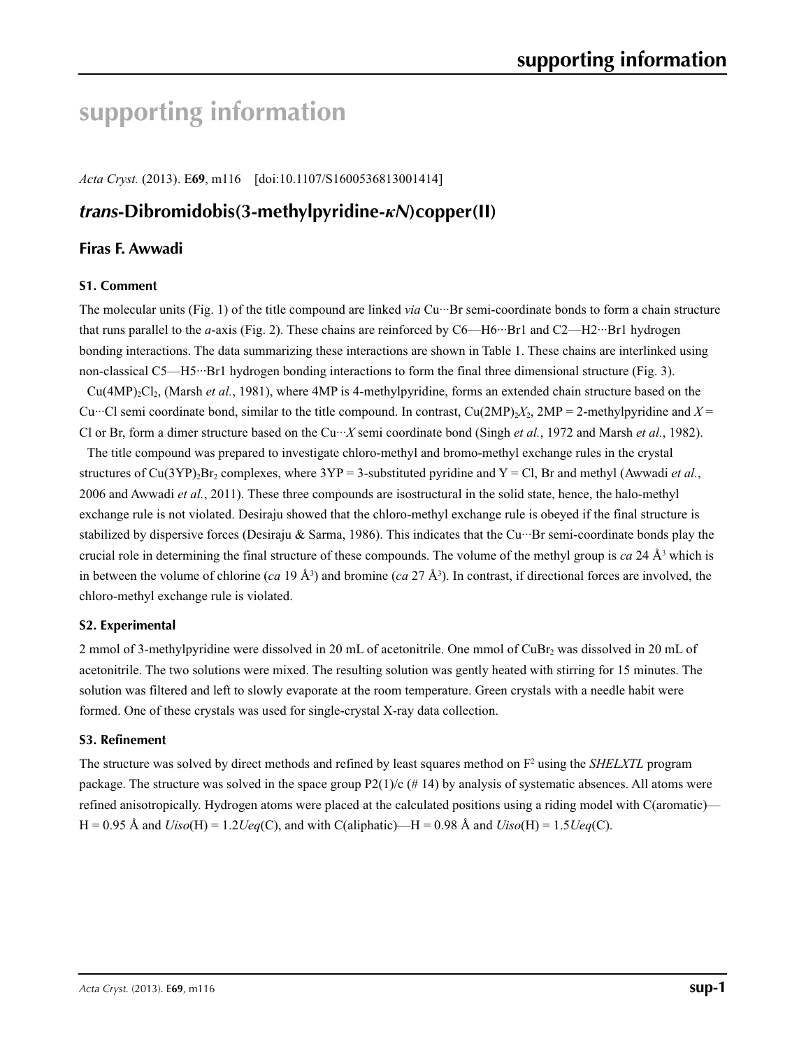# **supporting information**

*Acta Cryst.* (2013). E**69**, m116 [doi:10.1107/S1600536813001414]

# *trans***-Dibromidobis(3-methylpyridine-***κN***)copper(II)**

## **Firas F. Awwadi**

#### **S1. Comment**

The molecular units (Fig. 1) of the title compound are linked *via* Cu···Br semi-coordinate bonds to form a chain structure that runs parallel to the *a*-axis (Fig. 2). These chains are reinforced by C6—H6···Br1 and C2—H2···Br1 hydrogen bonding interactions. The data summarizing these interactions are shown in Table 1. These chains are interlinked using non-classical C5—H5···Br1 hydrogen bonding interactions to form the final three dimensional structure (Fig. 3). Cu(4MP)2Cl2, (Marsh *et al.*, 1981), where 4MP is 4-methylpyridine, forms an extended chain structure based on the Cu···Cl semi coordinate bond, similar to the title compound. In contrast, Cu(2MP)<sub>2</sub> $X_2$ , 2MP = 2-methylpyridine and  $X =$ Cl or Br, form a dimer structure based on the Cu···*X* semi coordinate bond (Singh *et al.*, 1972 and Marsh *et al.*, 1982).

The title compound was prepared to investigate chloro-methyl and bromo-methyl exchange rules in the crystal structures of Cu(3YP)<sub>2</sub>Br<sub>2</sub> complexes, where  $3YP = 3$ -substituted pyridine and Y = Cl, Br and methyl (Awwadi *et al.*, 2006 and Awwadi *et al.*, 2011). These three compounds are isostructural in the solid state, hence, the halo-methyl exchange rule is not violated. Desiraju showed that the chloro-methyl exchange rule is obeyed if the final structure is stabilized by dispersive forces (Desiraju & Sarma, 1986). This indicates that the Cu $\cdots$ Br semi-coordinate bonds play the crucial role in determining the final structure of these compounds. The volume of the methyl group is  $ca$  24  $\AA$ <sup>3</sup> which is in between the volume of chlorine  $(ca 19 \text{ Å}^3)$  and bromine  $(ca 27 \text{ Å}^3)$ . In contrast, if directional forces are involved, the chloro-methyl exchange rule is violated.

#### **S2. Experimental**

2 mmol of 3-methylpyridine were dissolved in 20 mL of acetonitrile. One mmol of  $\text{CuBr}_2$  was dissolved in 20 mL of acetonitrile. The two solutions were mixed. The resulting solution was gently heated with stirring for 15 minutes. The solution was filtered and left to slowly evaporate at the room temperature. Green crystals with a needle habit were formed. One of these crystals was used for single-crystal X-ray data collection.

#### **S3. Refinement**

The structure was solved by direct methods and refined by least squares method on  $F<sup>2</sup>$  using the *SHELXTL* program package. The structure was solved in the space group  $P2(1)/c$  (#14) by analysis of systematic absences. All atoms were refined anisotropically. Hydrogen atoms were placed at the calculated positions using a riding model with C(aromatic)—  $H = 0.95$  Å and *Uiso*(H) = 1.2*Ueq*(C), and with C(aliphatic)—H = 0.98 Å and *Uiso*(H) = 1.5*Ueq*(C).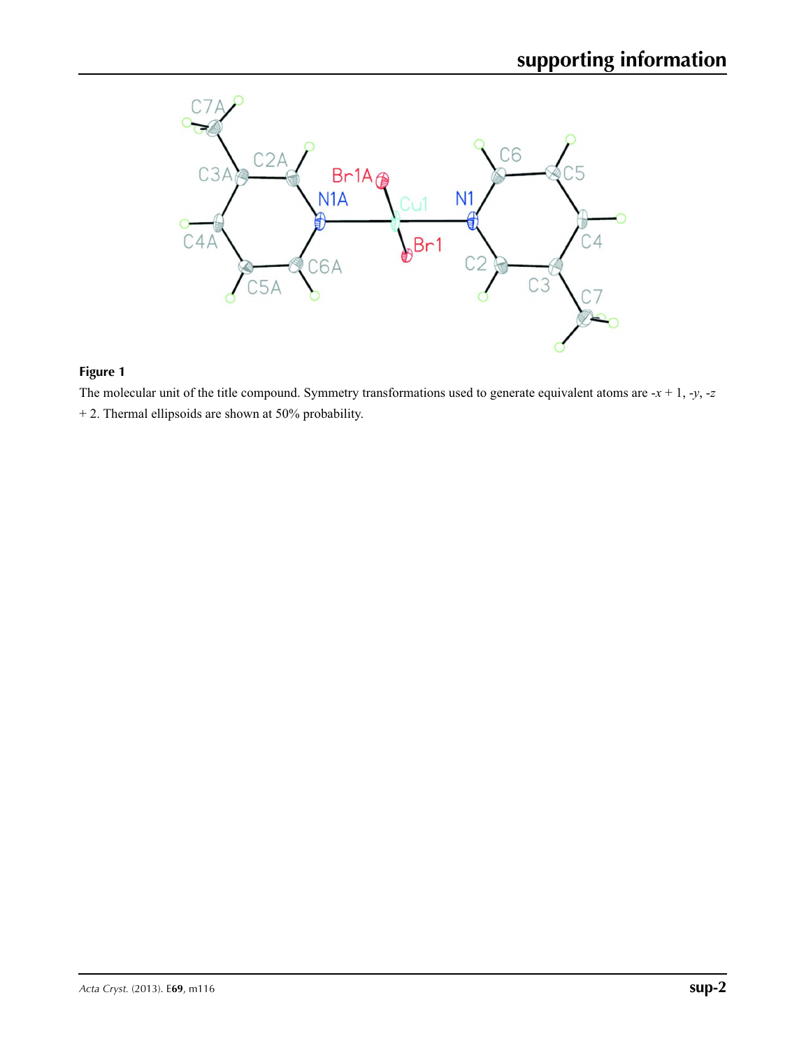

## **Figure 1**

The molecular unit of the title compound. Symmetry transformations used to generate equivalent atoms are  $-x + 1$ ,  $-y$ ,  $-z$ + 2. Thermal ellipsoids are shown at 50% probability.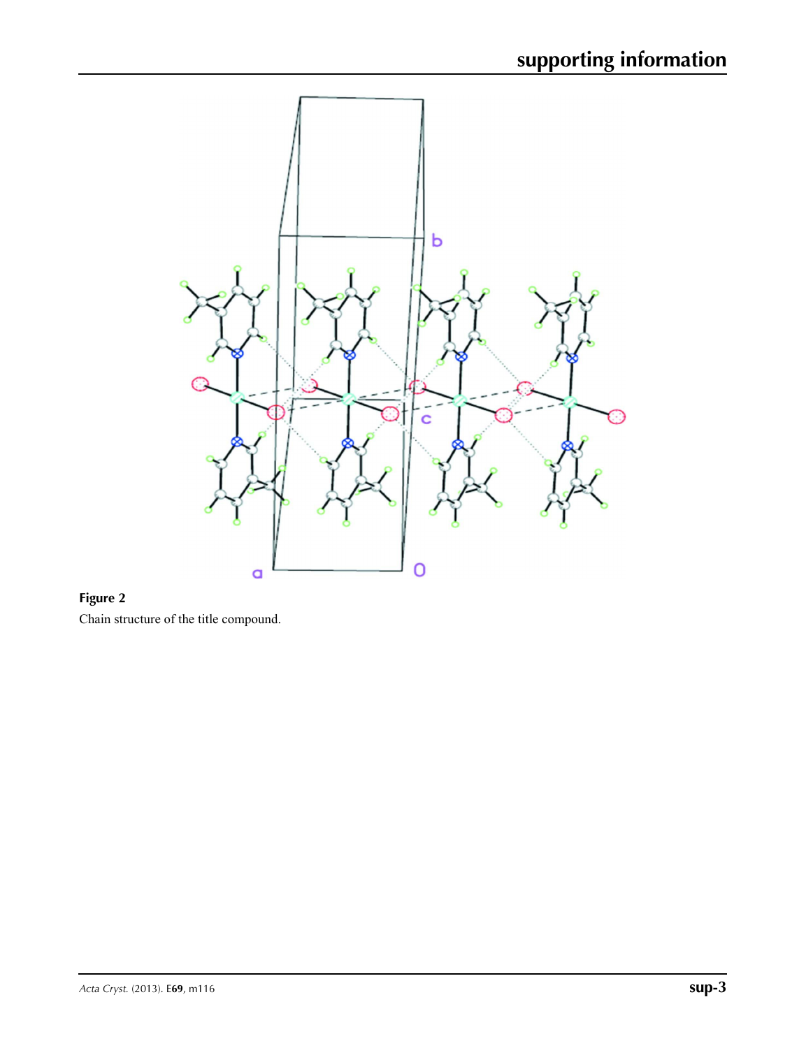

# **Figure 2**

Chain structure of the title compound.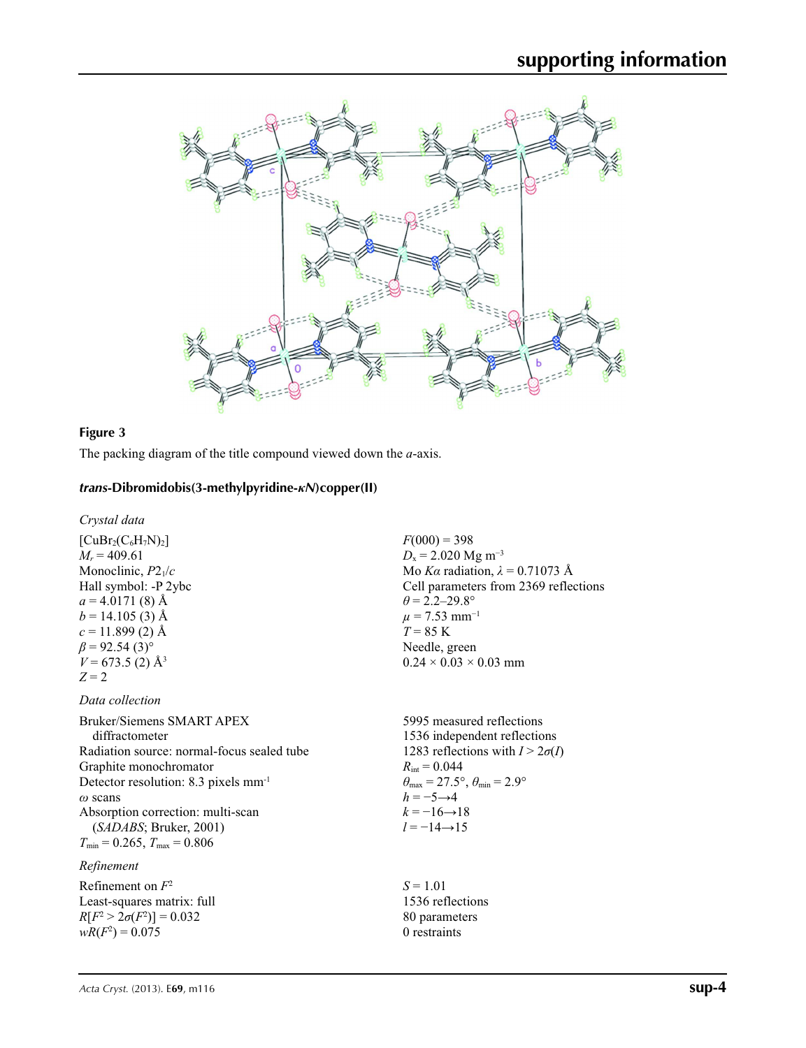

#### **Figure 3**

The packing diagram of the title compound viewed down the *a*-axis.

#### *trans***-Dibromidobis(3-methylpyridine-***κN***)copper(II)**

*Crystal data*

 $[CuBr<sub>2</sub>(C<sub>6</sub>H<sub>7</sub>N)<sub>2</sub>]$  $M_r = 409.61$ Monoclinic, *P*21/*c* Hall symbol: -P 2ybc  $a = 4.0171(8)$  Å  $b = 14.105$  (3) Å  $c = 11.899(2)$  Å  $\beta$  = 92.54 (3)<sup>o</sup>  $V = 673.5$  (2) Å<sup>3</sup> *Z* = 2

#### *Data collection*

Bruker/Siemens SMART APEX diffractometer Radiation source: normal-focus sealed tube Graphite monochromator Detector resolution: 8.3 pixels mm-1 *ω* scans Absorption correction: multi-scan (*SADABS*; Bruker, 2001)  $T_{\text{min}} = 0.265$ ,  $T_{\text{max}} = 0.806$ 

#### *Refinement*

Refinement on *F*<sup>2</sup> Least-squares matrix: full  $R[F^2 > 2\sigma(F^2)] = 0.032$  $wR(F^2) = 0.075$ 

 $F(000) = 398$  $D_x = 2.020$  Mg m<sup>-3</sup> Mo *Kα* radiation, *λ* = 0.71073 Å Cell parameters from 2369 reflections  $\theta$  = 2.2–29.8°  $\mu$  = 7.53 mm<sup>-1</sup> *T* = 85 K Needle, green  $0.24 \times 0.03 \times 0.03$  mm

5995 measured reflections 1536 independent reflections 1283 reflections with  $I > 2\sigma(I)$  $R_{\text{int}} = 0.044$  $\theta_{\text{max}} = 27.5^{\circ}, \theta_{\text{min}} = 2.9^{\circ}$  $h = -5 \rightarrow 4$  $k = -16 \rightarrow 18$  $l = -14 \rightarrow 15$ 

*S* = 1.01 1536 reflections 80 parameters 0 restraints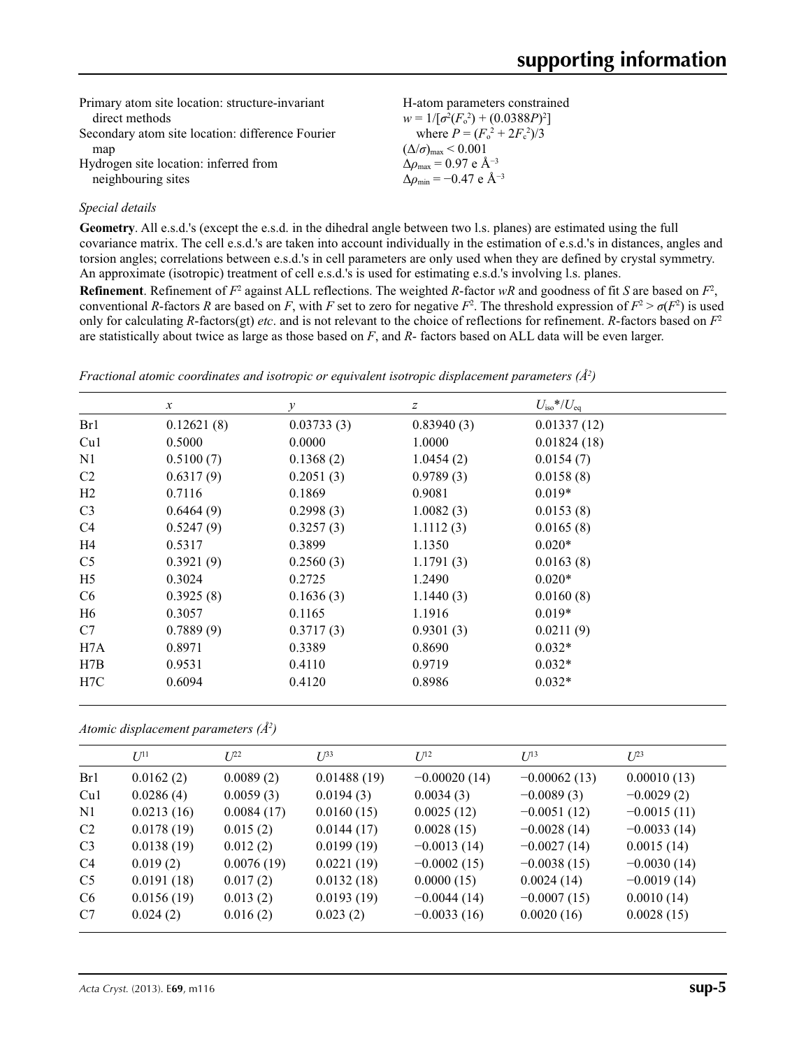| H-atom parameters constrained                             |
|-----------------------------------------------------------|
| $w = 1/[\sigma^2(F_0^2) + (0.0388P)^2]$                   |
| where $P = (F_o^2 + 2F_c^2)/3$                            |
| $(\Delta/\sigma)_{\text{max}}$ < 0.001                    |
| $\Delta\rho_{\text{max}}$ = 0.97 e Å <sup>-3</sup>        |
| $\Delta\rho_{\rm min} = -0.47 \text{ e } \text{\AA}^{-3}$ |
|                                                           |

#### *Special details*

**Geometry**. All e.s.d.'s (except the e.s.d. in the dihedral angle between two l.s. planes) are estimated using the full covariance matrix. The cell e.s.d.'s are taken into account individually in the estimation of e.s.d.'s in distances, angles and torsion angles; correlations between e.s.d.'s in cell parameters are only used when they are defined by crystal symmetry. An approximate (isotropic) treatment of cell e.s.d.'s is used for estimating e.s.d.'s involving l.s. planes.

**Refinement**. Refinement of  $F^2$  against ALL reflections. The weighted *R*-factor  $wR$  and goodness of fit *S* are based on  $F^2$ , conventional *R*-factors *R* are based on *F*, with *F* set to zero for negative  $F^2$ . The threshold expression of  $F^2 > \sigma(F^2)$  is used only for calculating *R*-factors(gt) *etc*. and is not relevant to the choice of reflections for refinement. *R*-factors based on *F*<sup>2</sup> are statistically about twice as large as those based on *F*, and *R*- factors based on ALL data will be even larger.

|                  | $\mathcal{X}$ | $\mathcal{Y}$ | $\boldsymbol{Z}$ | $U_{\rm iso}*/U_{\rm eq}$ |  |
|------------------|---------------|---------------|------------------|---------------------------|--|
| Br1              | 0.12621(8)    | 0.03733(3)    | 0.83940(3)       | 0.01337(12)               |  |
| Cu1              | 0.5000        | 0.0000        | 1.0000           | 0.01824(18)               |  |
| N <sub>1</sub>   | 0.5100(7)     | 0.1368(2)     | 1.0454(2)        | 0.0154(7)                 |  |
| C2               | 0.6317(9)     | 0.2051(3)     | 0.9789(3)        | 0.0158(8)                 |  |
| H2               | 0.7116        | 0.1869        | 0.9081           | $0.019*$                  |  |
| C <sub>3</sub>   | 0.6464(9)     | 0.2998(3)     | 1.0082(3)        | 0.0153(8)                 |  |
| C4               | 0.5247(9)     | 0.3257(3)     | 1.1112(3)        | 0.0165(8)                 |  |
| H <sub>4</sub>   | 0.5317        | 0.3899        | 1.1350           | $0.020*$                  |  |
| C <sub>5</sub>   | 0.3921(9)     | 0.2560(3)     | 1.1791(3)        | 0.0163(8)                 |  |
| H <sub>5</sub>   | 0.3024        | 0.2725        | 1.2490           | $0.020*$                  |  |
| C <sub>6</sub>   | 0.3925(8)     | 0.1636(3)     | 1.1440(3)        | 0.0160(8)                 |  |
| H6               | 0.3057        | 0.1165        | 1.1916           | $0.019*$                  |  |
| C7               | 0.7889(9)     | 0.3717(3)     | 0.9301(3)        | 0.0211(9)                 |  |
| H7A              | 0.8971        | 0.3389        | 0.8690           | $0.032*$                  |  |
| H7B              | 0.9531        | 0.4110        | 0.9719           | $0.032*$                  |  |
| H <sub>7</sub> C | 0.6094        | 0.4120        | 0.8986           | $0.032*$                  |  |
|                  |               |               |                  |                           |  |

*Fractional atomic coordinates and isotropic or equivalent isotropic displacement parameters (Å2 )*

*Atomic displacement parameters (Å2 )*

|                | $I^{11}$   | $I^{22}$   | $U^{33}$    | $U^{12}$       | $U^{13}$       | $L^{23}$      |
|----------------|------------|------------|-------------|----------------|----------------|---------------|
| Br1            | 0.0162(2)  | 0.0089(2)  | 0.01488(19) | $-0.00020(14)$ | $-0.00062(13)$ | 0.00010(13)   |
| Cu1            | 0.0286(4)  | 0.0059(3)  | 0.0194(3)   | 0.0034(3)      | $-0.0089(3)$   | $-0.0029(2)$  |
| N1             | 0.0213(16) | 0.0084(17) | 0.0160(15)  | 0.0025(12)     | $-0.0051(12)$  | $-0.0015(11)$ |
| C <sub>2</sub> | 0.0178(19) | 0.015(2)   | 0.0144(17)  | 0.0028(15)     | $-0.0028(14)$  | $-0.0033(14)$ |
| C <sub>3</sub> | 0.0138(19) | 0.012(2)   | 0.0199(19)  | $-0.0013(14)$  | $-0.0027(14)$  | 0.0015(14)    |
| C <sub>4</sub> | 0.019(2)   | 0.0076(19) | 0.0221(19)  | $-0.0002(15)$  | $-0.0038(15)$  | $-0.0030(14)$ |
| C <sub>5</sub> | 0.0191(18) | 0.017(2)   | 0.0132(18)  | 0.0000(15)     | 0.0024(14)     | $-0.0019(14)$ |
| C <sub>6</sub> | 0.0156(19) | 0.013(2)   | 0.0193(19)  | $-0.0044(14)$  | $-0.0007(15)$  | 0.0010(14)    |
| C7             | 0.024(2)   | 0.016(2)   | 0.023(2)    | $-0.0033(16)$  | 0.0020(16)     | 0.0028(15)    |